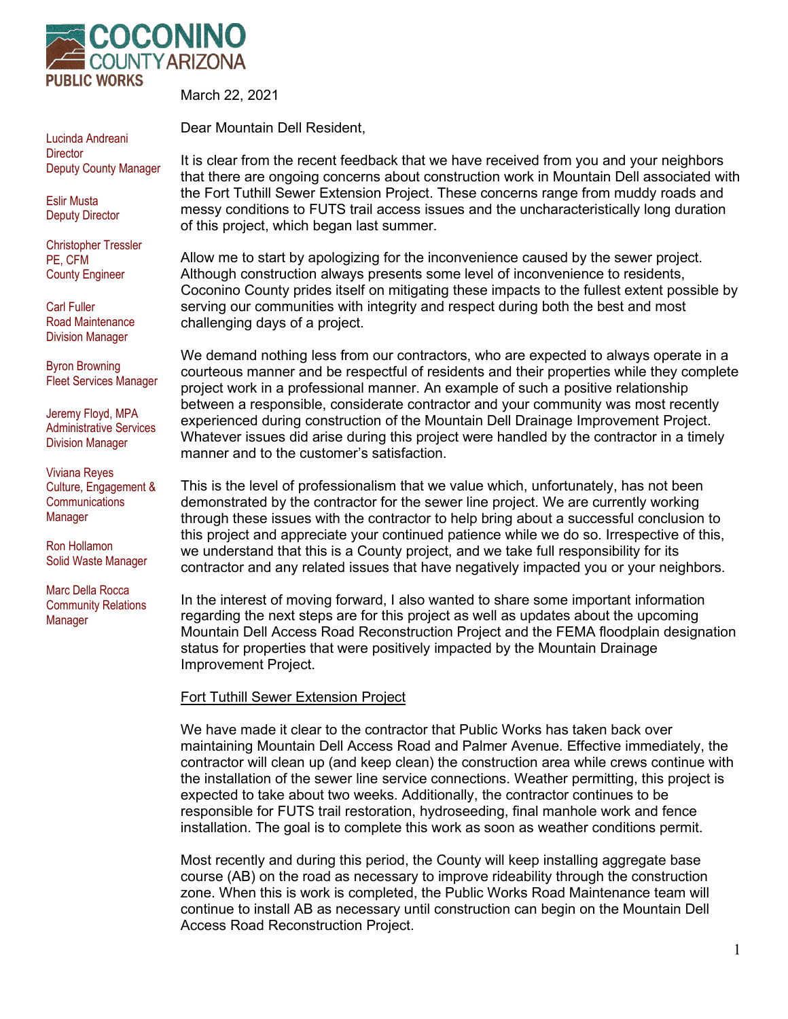

Lucinda Andreani **Director** Deputy County Manager

Eslir Musta Deputy Director

Christopher Tressler PE, CFM County Engineer

Carl Fuller Road Maintenance Division Manager

Byron Browning Fleet Services Manager

Jeremy Floyd, MPA Administrative Services Division Manager

Viviana Reyes Culture, Engagement & **Communications** Manager

Ron Hollamon Solid Waste Manager

Marc Della Rocca Community Relations Manager

March 22, 2021

Dear Mountain Dell Resident,

It is clear from the recent feedback that we have received from you and your neighbors that there are ongoing concerns about construction work in Mountain Dell associated with the Fort Tuthill Sewer Extension Project. These concerns range from muddy roads and messy conditions to FUTS trail access issues and the uncharacteristically long duration of this project, which began last summer.

Allow me to start by apologizing for the inconvenience caused by the sewer project. Although construction always presents some level of inconvenience to residents, Coconino County prides itself on mitigating these impacts to the fullest extent possible by serving our communities with integrity and respect during both the best and most challenging days of a project.

We demand nothing less from our contractors, who are expected to always operate in a courteous manner and be respectful of residents and their properties while they complete project work in a professional manner. An example of such a positive relationship between a responsible, considerate contractor and your community was most recently experienced during construction of the Mountain Dell Drainage Improvement Project. Whatever issues did arise during this project were handled by the contractor in a timely manner and to the customer's satisfaction.

This is the level of professionalism that we value which, unfortunately, has not been demonstrated by the contractor for the sewer line project. We are currently working through these issues with the contractor to help bring about a successful conclusion to this project and appreciate your continued patience while we do so. Irrespective of this, we understand that this is a County project, and we take full responsibility for its contractor and any related issues that have negatively impacted you or your neighbors.

In the interest of moving forward, I also wanted to share some important information regarding the next steps are for this project as well as updates about the upcoming Mountain Dell Access Road Reconstruction Project and the FEMA floodplain designation status for properties that were positively impacted by the Mountain Drainage Improvement Project.

## Fort Tuthill Sewer Extension Project

We have made it clear to the contractor that Public Works has taken back over maintaining Mountain Dell Access Road and Palmer Avenue. Effective immediately, the contractor will clean up (and keep clean) the construction area while crews continue with the installation of the sewer line service connections. Weather permitting, this project is expected to take about two weeks. Additionally, the contractor continues to be responsible for FUTS trail restoration, hydroseeding, final manhole work and fence installation. The goal is to complete this work as soon as weather conditions permit.

Most recently and during this period, the County will keep installing aggregate base course (AB) on the road as necessary to improve rideability through the construction zone. When this is work is completed, the Public Works Road Maintenance team will continue to install AB as necessary until construction can begin on the Mountain Dell Access Road Reconstruction Project.